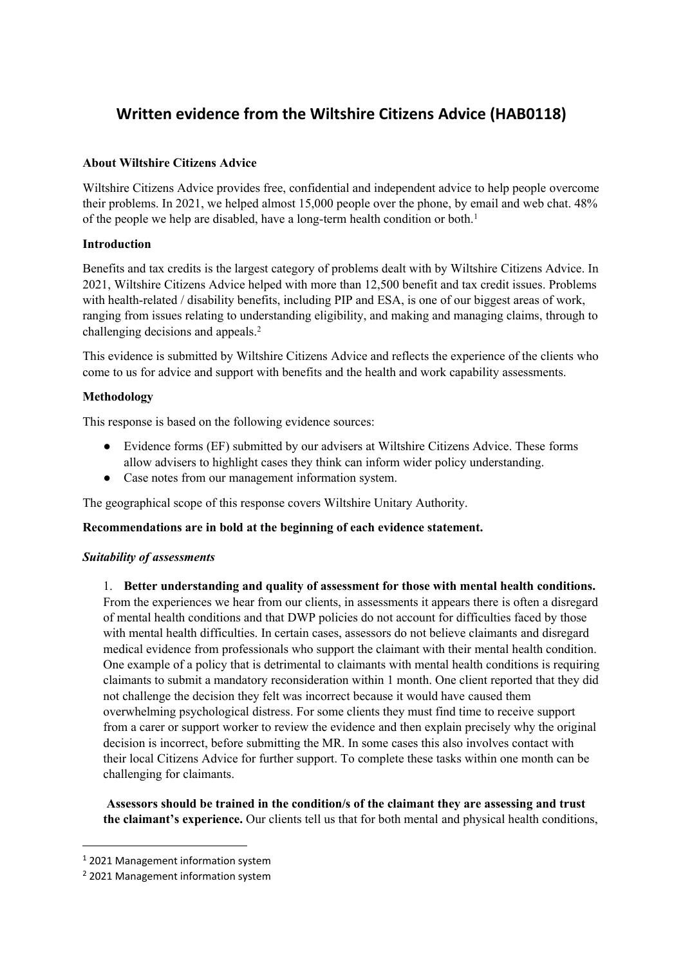# **Written evidence from the Wiltshire Citizens Advice (HAB0118)**

# **About Wiltshire Citizens Advice**

Wiltshire Citizens Advice provides free, confidential and independent advice to help people overcome their problems. In 2021, we helped almost 15,000 people over the phone, by email and web chat. 48% of the people we help are disabled, have a long-term health condition or both.<sup>1</sup>

## **Introduction**

Benefits and tax credits is the largest category of problems dealt with by Wiltshire Citizens Advice. In 2021, Wiltshire Citizens Advice helped with more than 12,500 benefit and tax credit issues. Problems with health-related / disability benefits, including PIP and ESA, is one of our biggest areas of work, ranging from issues relating to understanding eligibility, and making and managing claims, through to challenging decisions and appeals.<sup>2</sup>

This evidence is submitted by Wiltshire Citizens Advice and reflects the experience of the clients who come to us for advice and support with benefits and the health and work capability assessments.

# **Methodology**

This response is based on the following evidence sources:

- Evidence forms (EF) submitted by our advisers at Wiltshire Citizens Advice. These forms allow advisers to highlight cases they think can inform wider policy understanding.
- Case notes from our management information system.

The geographical scope of this response covers Wiltshire Unitary Authority.

## **Recommendations are in bold at the beginning of each evidence statement.**

## *Suitability of assessments*

1. **Better understanding and quality of assessment for those with mental health conditions.** From the experiences we hear from our clients, in assessments it appears there is often a disregard of mental health conditions and that DWP policies do not account for difficulties faced by those with mental health difficulties. In certain cases, assessors do not believe claimants and disregard medical evidence from professionals who support the claimant with their mental health condition. One example of a policy that is detrimental to claimants with mental health conditions is requiring claimants to submit a mandatory reconsideration within 1 month. One client reported that they did not challenge the decision they felt was incorrect because it would have caused them overwhelming psychological distress. For some clients they must find time to receive support from a carer or support worker to review the evidence and then explain precisely why the original decision is incorrect, before submitting the MR. In some cases this also involves contact with their local Citizens Advice for further support. To complete these tasks within one month can be challenging for claimants.

**Assessors should be trained in the condition/s of the claimant they are assessing and trust the claimant's experience.** Our clients tell us that for both mental and physical health conditions,

<sup>1</sup> 2021 Management information system

<sup>2</sup> 2021 Management information system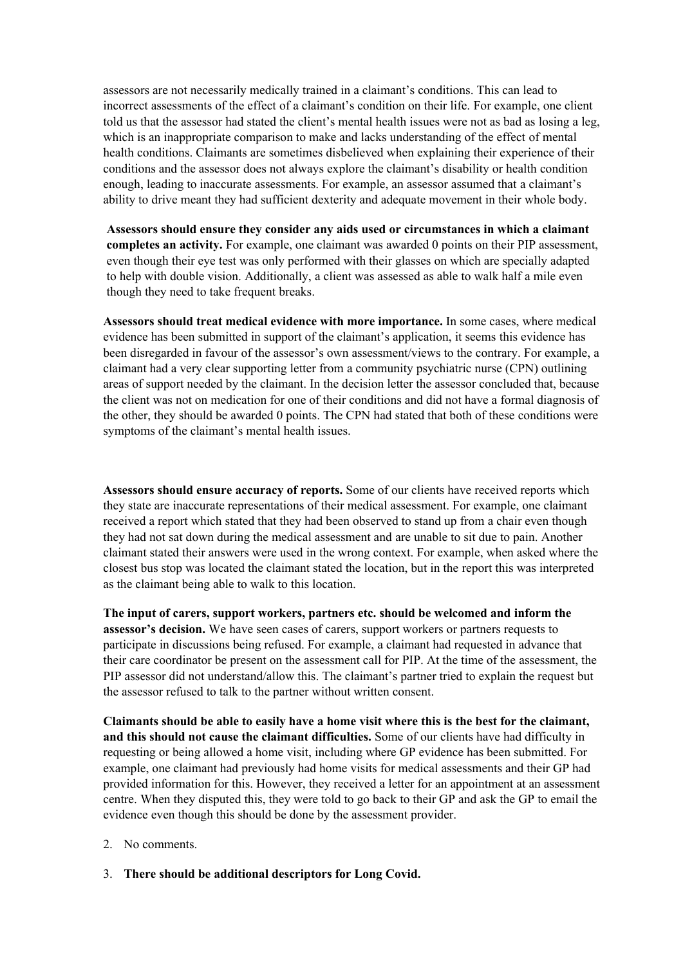assessors are not necessarily medically trained in a claimant's conditions. This can lead to incorrect assessments of the effect of a claimant's condition on their life. For example, one client told us that the assessor had stated the client's mental health issues were not as bad as losing a leg, which is an inappropriate comparison to make and lacks understanding of the effect of mental health conditions. Claimants are sometimes disbelieved when explaining their experience of their conditions and the assessor does not always explore the claimant's disability or health condition enough, leading to inaccurate assessments. For example, an assessor assumed that a claimant's ability to drive meant they had sufficient dexterity and adequate movement in their whole body.

**Assessors should ensure they consider any aids used or circumstances in which a claimant completes an activity.** For example, one claimant was awarded 0 points on their PIP assessment, even though their eye test was only performed with their glasses on which are specially adapted to help with double vision. Additionally, a client was assessed as able to walk half a mile even though they need to take frequent breaks.

**Assessors should treat medical evidence with more importance.** In some cases, where medical evidence has been submitted in support of the claimant's application, it seems this evidence has been disregarded in favour of the assessor's own assessment/views to the contrary. For example, a claimant had a very clear supporting letter from a community psychiatric nurse (CPN) outlining areas of support needed by the claimant. In the decision letter the assessor concluded that, because the client was not on medication for one of their conditions and did not have a formal diagnosis of the other, they should be awarded 0 points. The CPN had stated that both of these conditions were symptoms of the claimant's mental health issues.

**Assessors should ensure accuracy of reports.** Some of our clients have received reports which they state are inaccurate representations of their medical assessment. For example, one claimant received a report which stated that they had been observed to stand up from a chair even though they had not sat down during the medical assessment and are unable to sit due to pain. Another claimant stated their answers were used in the wrong context. For example, when asked where the closest bus stop was located the claimant stated the location, but in the report this was interpreted as the claimant being able to walk to this location.

**The input of carers, support workers, partners etc. should be welcomed and inform the assessor's decision.** We have seen cases of carers, support workers or partners requests to participate in discussions being refused. For example, a claimant had requested in advance that their care coordinator be present on the assessment call for PIP. At the time of the assessment, the PIP assessor did not understand/allow this. The claimant's partner tried to explain the request but the assessor refused to talk to the partner without written consent.

**Claimants should be able to easily have a home visit where this is the best for the claimant, and this should not cause the claimant difficulties.** Some of our clients have had difficulty in requesting or being allowed a home visit, including where GP evidence has been submitted. For example, one claimant had previously had home visits for medical assessments and their GP had provided information for this. However, they received a letter for an appointment at an assessment centre. When they disputed this, they were told to go back to their GP and ask the GP to email the evidence even though this should be done by the assessment provider.

- 2. No comments.
- 3. **There should be additional descriptors for Long Covid.**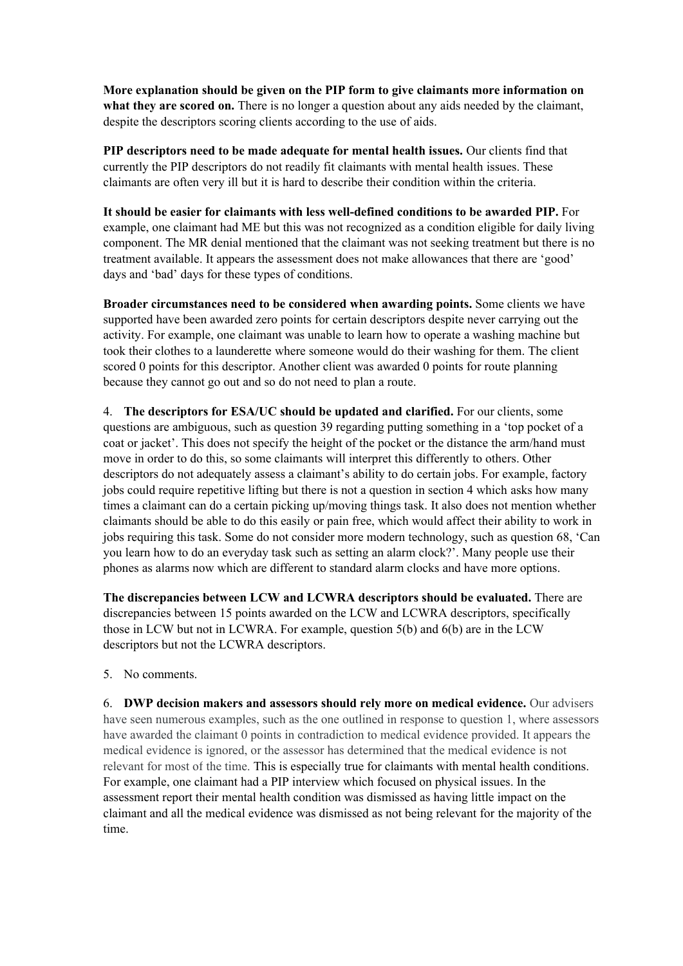**More explanation should be given on the PIP form to give claimants more information on what they are scored on.** There is no longer a question about any aids needed by the claimant, despite the descriptors scoring clients according to the use of aids.

**PIP descriptors need to be made adequate for mental health issues.** Our clients find that currently the PIP descriptors do not readily fit claimants with mental health issues. These claimants are often very ill but it is hard to describe their condition within the criteria.

**It should be easier for claimants with less well-defined conditions to be awarded PIP.** For example, one claimant had ME but this was not recognized as a condition eligible for daily living component. The MR denial mentioned that the claimant was not seeking treatment but there is no treatment available. It appears the assessment does not make allowances that there are 'good' days and 'bad' days for these types of conditions.

**Broader circumstances need to be considered when awarding points.** Some clients we have supported have been awarded zero points for certain descriptors despite never carrying out the activity. For example, one claimant was unable to learn how to operate a washing machine but took their clothes to a launderette where someone would do their washing for them. The client scored 0 points for this descriptor. Another client was awarded 0 points for route planning because they cannot go out and so do not need to plan a route.

4. **The descriptors for ESA/UC should be updated and clarified.** For our clients, some questions are ambiguous, such as question 39 regarding putting something in a 'top pocket of a coat or jacket'. This does not specify the height of the pocket or the distance the arm/hand must move in order to do this, so some claimants will interpret this differently to others. Other descriptors do not adequately assess a claimant's ability to do certain jobs. For example, factory jobs could require repetitive lifting but there is not a question in section 4 which asks how many times a claimant can do a certain picking up/moving things task. It also does not mention whether claimants should be able to do this easily or pain free, which would affect their ability to work in jobs requiring this task. Some do not consider more modern technology, such as question 68, 'Can you learn how to do an everyday task such as setting an alarm clock?'. Many people use their phones as alarms now which are different to standard alarm clocks and have more options.

**The discrepancies between LCW and LCWRA descriptors should be evaluated.** There are discrepancies between 15 points awarded on the LCW and LCWRA descriptors, specifically those in LCW but not in LCWRA. For example, question 5(b) and 6(b) are in the LCW descriptors but not the LCWRA descriptors.

5. No comments.

6. **DWP decision makers and assessors should rely more on medical evidence.** Our advisers have seen numerous examples, such as the one outlined in response to question 1, where assessors have awarded the claimant 0 points in contradiction to medical evidence provided. It appears the medical evidence is ignored, or the assessor has determined that the medical evidence is not relevant for most of the time. This is especially true for claimants with mental health conditions. For example, one claimant had a PIP interview which focused on physical issues. In the assessment report their mental health condition was dismissed as having little impact on the claimant and all the medical evidence was dismissed as not being relevant for the majority of the time.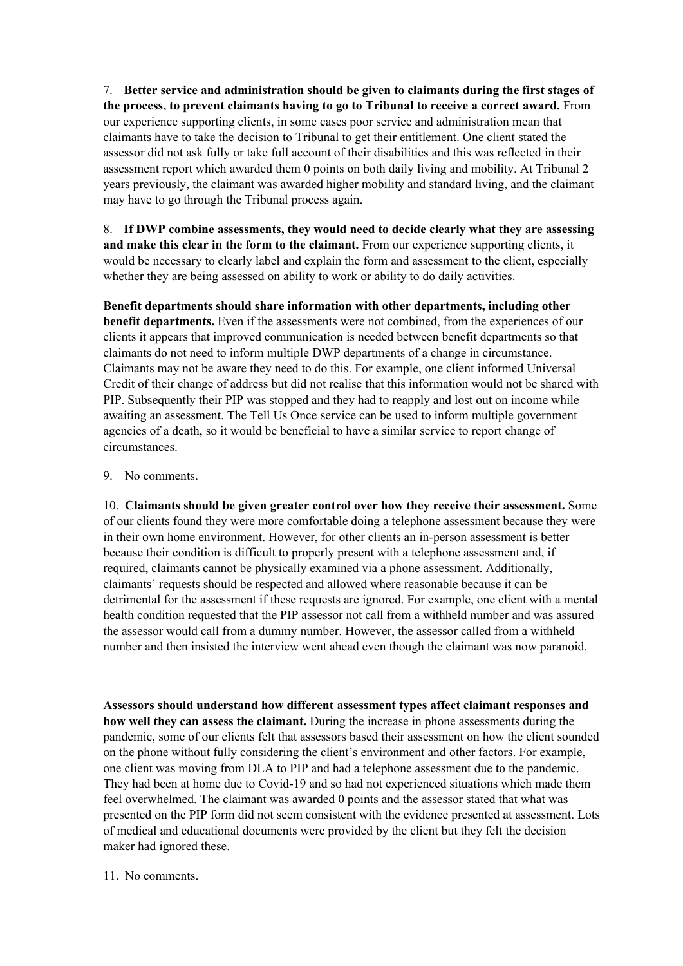7. **Better service and administration should be given to claimants during the first stages of the process, to prevent claimants having to go to Tribunal to receive a correct award.** From our experience supporting clients, in some cases poor service and administration mean that claimants have to take the decision to Tribunal to get their entitlement. One client stated the assessor did not ask fully or take full account of their disabilities and this was reflected in their assessment report which awarded them 0 points on both daily living and mobility. At Tribunal 2 years previously, the claimant was awarded higher mobility and standard living, and the claimant may have to go through the Tribunal process again.

8. **If DWP combine assessments, they would need to decide clearly what they are assessing and make this clear in the form to the claimant.** From our experience supporting clients, it would be necessary to clearly label and explain the form and assessment to the client, especially whether they are being assessed on ability to work or ability to do daily activities.

**Benefit departments should share information with other departments, including other benefit departments.** Even if the assessments were not combined, from the experiences of our clients it appears that improved communication is needed between benefit departments so that claimants do not need to inform multiple DWP departments of a change in circumstance. Claimants may not be aware they need to do this. For example, one client informed Universal Credit of their change of address but did not realise that this information would not be shared with PIP. Subsequently their PIP was stopped and they had to reapply and lost out on income while awaiting an assessment. The Tell Us Once service can be used to inform multiple government agencies of a death, so it would be beneficial to have a similar service to report change of circumstances.

#### 9. No comments.

10. **Claimants should be given greater control over how they receive their assessment.** Some of our clients found they were more comfortable doing a telephone assessment because they were in their own home environment. However, for other clients an in-person assessment is better because their condition is difficult to properly present with a telephone assessment and, if required, claimants cannot be physically examined via a phone assessment. Additionally, claimants' requests should be respected and allowed where reasonable because it can be detrimental for the assessment if these requests are ignored. For example, one client with a mental health condition requested that the PIP assessor not call from a withheld number and was assured the assessor would call from a dummy number. However, the assessor called from a withheld number and then insisted the interview went ahead even though the claimant was now paranoid.

**Assessors should understand how different assessment types affect claimant responses and how well they can assess the claimant.** During the increase in phone assessments during the pandemic, some of our clients felt that assessors based their assessment on how the client sounded on the phone without fully considering the client's environment and other factors. For example, one client was moving from DLA to PIP and had a telephone assessment due to the pandemic. They had been at home due to Covid-19 and so had not experienced situations which made them feel overwhelmed. The claimant was awarded 0 points and the assessor stated that what was presented on the PIP form did not seem consistent with the evidence presented at assessment. Lots of medical and educational documents were provided by the client but they felt the decision maker had ignored these.

#### 11. No comments.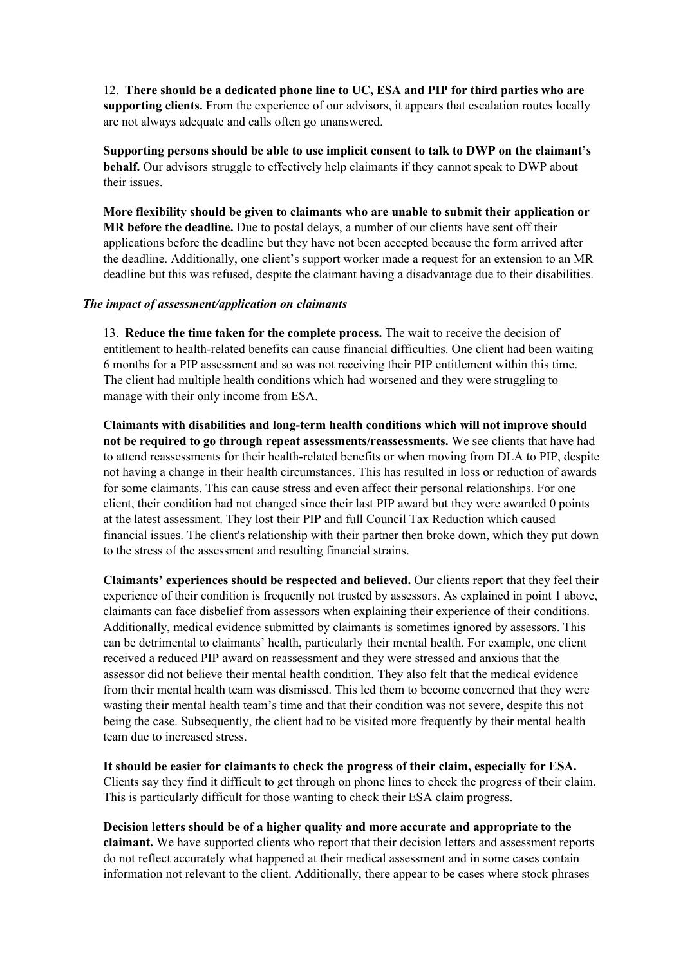12. **There should be a dedicated phone line to UC, ESA and PIP for third parties who are supporting clients.** From the experience of our advisors, it appears that escalation routes locally are not always adequate and calls often go unanswered.

**Supporting persons should be able to use implicit consent to talk to DWP on the claimant's behalf.** Our advisors struggle to effectively help claimants if they cannot speak to DWP about their issues.

**More flexibility should be given to claimants who are unable to submit their application or MR before the deadline.** Due to postal delays, a number of our clients have sent off their applications before the deadline but they have not been accepted because the form arrived after the deadline. Additionally, one client's support worker made a request for an extension to an MR deadline but this was refused, despite the claimant having a disadvantage due to their disabilities.

#### *The impact of assessment/application on claimants*

13. **Reduce the time taken for the complete process.** The wait to receive the decision of entitlement to health-related benefits can cause financial difficulties. One client had been waiting 6 months for a PIP assessment and so was not receiving their PIP entitlement within this time. The client had multiple health conditions which had worsened and they were struggling to manage with their only income from ESA.

**Claimants with disabilities and long-term health conditions which will not improve should not be required to go through repeat assessments/reassessments.** We see clients that have had to attend reassessments for their health-related benefits or when moving from DLA to PIP, despite not having a change in their health circumstances. This has resulted in loss or reduction of awards for some claimants. This can cause stress and even affect their personal relationships. For one client, their condition had not changed since their last PIP award but they were awarded 0 points at the latest assessment. They lost their PIP and full Council Tax Reduction which caused financial issues. The client's relationship with their partner then broke down, which they put down to the stress of the assessment and resulting financial strains.

**Claimants' experiences should be respected and believed.** Our clients report that they feel their experience of their condition is frequently not trusted by assessors. As explained in point 1 above, claimants can face disbelief from assessors when explaining their experience of their conditions. Additionally, medical evidence submitted by claimants is sometimes ignored by assessors. This can be detrimental to claimants' health, particularly their mental health. For example, one client received a reduced PIP award on reassessment and they were stressed and anxious that the assessor did not believe their mental health condition. They also felt that the medical evidence from their mental health team was dismissed. This led them to become concerned that they were wasting their mental health team's time and that their condition was not severe, despite this not being the case. Subsequently, the client had to be visited more frequently by their mental health team due to increased stress.

**It should be easier for claimants to check the progress of their claim, especially for ESA.** Clients say they find it difficult to get through on phone lines to check the progress of their claim. This is particularly difficult for those wanting to check their ESA claim progress.

**Decision letters should be of a higher quality and more accurate and appropriate to the claimant.** We have supported clients who report that their decision letters and assessment reports do not reflect accurately what happened at their medical assessment and in some cases contain information not relevant to the client. Additionally, there appear to be cases where stock phrases